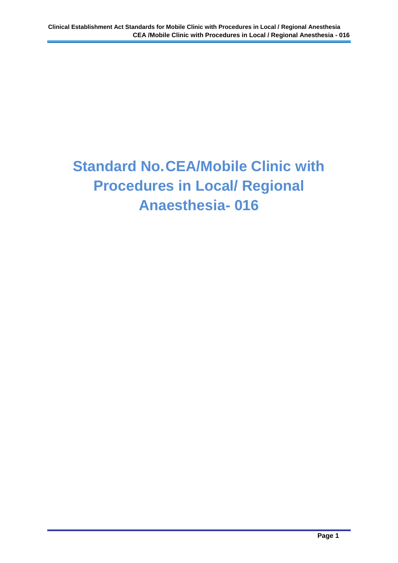## **Standard No.CEA/Mobile Clinic with Procedures in Local/ Regional Anaesthesia- 016**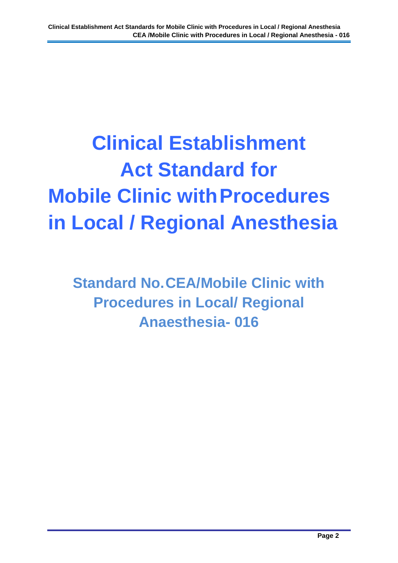# **Clinical Establishment Act Standard for Mobile Clinic with Procedures in Local / Regional Anesthesia**

**Standard No.CEA/Mobile Clinic with Procedures in Local/ Regional Anaesthesia- 016**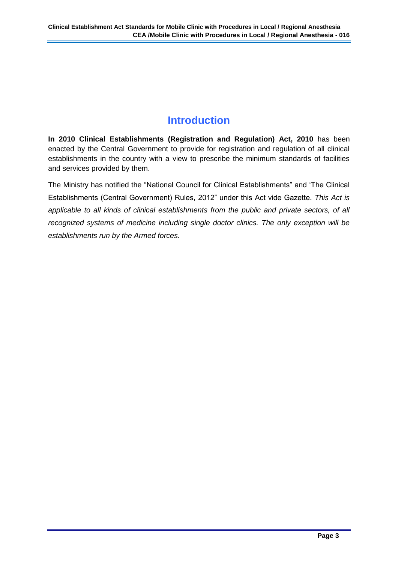### **Introduction**

**In 2010 Clinical Establishments (Registration and Regulation) Act, 2010** has been enacted by the Central Government to provide for registration and regulation of all clinical establishments in the country with a view to prescribe the minimum standards of facilities and services provided by them.

The Ministry has notified the "National Council for Clinical Establishments" and 'The Clinical Establishments (Central Government) Rules, 2012" under this Act vide Gazette. *This Act is applicable to all kinds of clinical establishments from the public and private sectors, of all recognized systems of medicine including single doctor clinics. The only exception will be establishments run by the Armed forces.*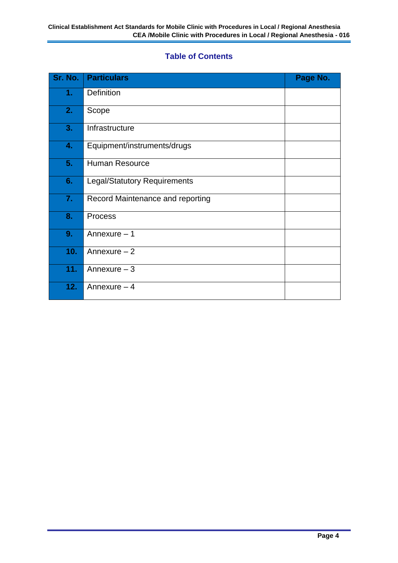#### **Table of Contents**

| Sr. No. | <b>Particulars</b>                  | Page No. |
|---------|-------------------------------------|----------|
| 1.      | <b>Definition</b>                   |          |
| 2.      | Scope                               |          |
| 3.      | Infrastructure                      |          |
| 4.      | Equipment/instruments/drugs         |          |
| 5.      | <b>Human Resource</b>               |          |
| 6.      | <b>Legal/Statutory Requirements</b> |          |
| 7.      | Record Maintenance and reporting    |          |
| 8.      | <b>Process</b>                      |          |
| 9.      | Annexure - 1                        |          |
| 10.     | Annexure $-2$                       |          |
| 11.     | Annexure $-3$                       |          |
| 12.     | Annexure $-4$                       |          |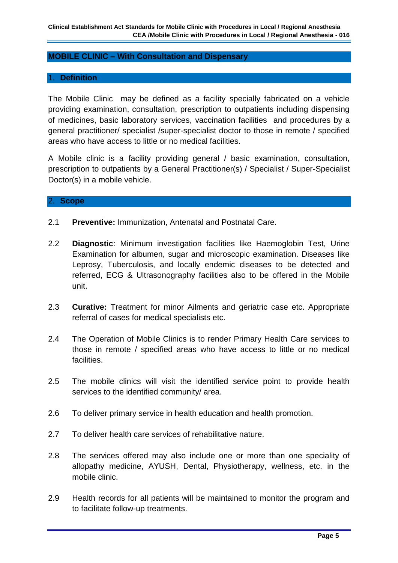#### **MOBILE CLINIC – With Consultation and Dispensary**

#### 1. **Definition**

The Mobile Clinic may be defined as a facility specially fabricated on a vehicle providing examination, consultation, prescription to outpatients including dispensing of medicines, basic laboratory services, vaccination facilities and procedures by a general practitioner/ specialist /super-specialist doctor to those in remote / specified areas who have access to little or no medical facilities.

A Mobile clinic is a facility providing general / basic examination, consultation, prescription to outpatients by a General Practitioner(s) / Specialist / Super-Specialist Doctor(s) in a mobile vehicle.

#### 2. **Scope**

- 2.1 **Preventive:** Immunization, Antenatal and Postnatal Care.
- 2.2 **Diagnostic**: Minimum investigation facilities like Haemoglobin Test, Urine Examination for albumen, sugar and microscopic examination. Diseases like Leprosy, Tuberculosis, and locally endemic diseases to be detected and referred, ECG & Ultrasonography facilities also to be offered in the Mobile unit.
- 2.3 **Curative:** Treatment for minor Ailments and geriatric case etc. Appropriate referral of cases for medical specialists etc.
- 2.4 The Operation of Mobile Clinics is to render Primary Health Care services to those in remote / specified areas who have access to little or no medical facilities.
- 2.5 The mobile clinics will visit the identified service point to provide health services to the identified community/ area.
- 2.6 To deliver primary service in health education and health promotion.
- 2.7 To deliver health care services of rehabilitative nature.
- 2.8 The services offered may also include one or more than one speciality of allopathy medicine, AYUSH, Dental, Physiotherapy, wellness, etc. in the mobile clinic.
- 2.9 Health records for all patients will be maintained to monitor the program and to facilitate follow-up treatments.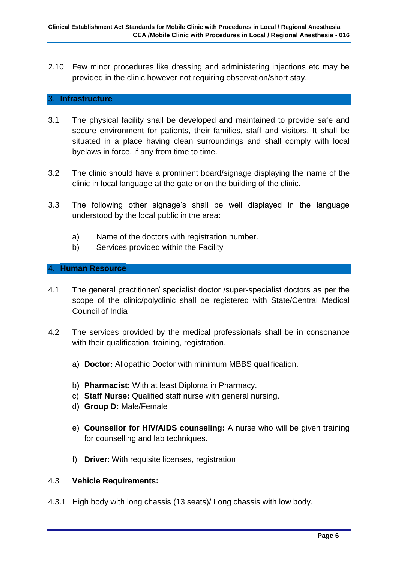2.10 Few minor procedures like dressing and administering injections etc may be provided in the clinic however not requiring observation/short stay.

#### 3. **Infrastructure**

- 3.1 The physical facility shall be developed and maintained to provide safe and secure environment for patients, their families, staff and visitors. It shall be situated in a place having clean surroundings and shall comply with local byelaws in force, if any from time to time.
- 3.2 The clinic should have a prominent board/signage displaying the name of the clinic in local language at the gate or on the building of the clinic.
- 3.3 The following other signage's shall be well displayed in the language understood by the local public in the area:
	- a) Name of the doctors with registration number.
	- b) Services provided within the Facility

#### 4. **Human Resource**

- 4.1 The general practitioner/ specialist doctor /super-specialist doctors as per the scope of the clinic/polyclinic shall be registered with State/Central Medical Council of India
- 4.2 The services provided by the medical professionals shall be in consonance with their qualification, training, registration.
	- a) **Doctor:** Allopathic Doctor with minimum MBBS qualification.
	- b) **Pharmacist:** With at least Diploma in Pharmacy.
	- c) **Staff Nurse:** Qualified staff nurse with general nursing.
	- d) **Group D:** Male/Female
	- e) **Counsellor for HIV/AIDS counseling:** A nurse who will be given training for counselling and lab techniques.
	- f) **Driver**: With requisite licenses, registration

#### 4.3 **Vehicle Requirements:**

4.3.1 High body with long chassis (13 seats)/ Long chassis with low body.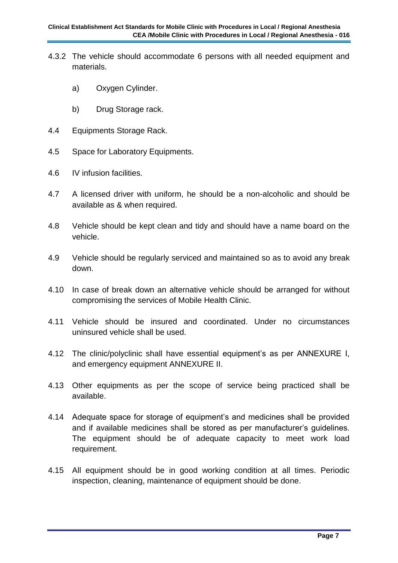- 4.3.2 The vehicle should accommodate 6 persons with all needed equipment and materials.
	- a) Oxygen Cylinder.
	- b) Drug Storage rack.
- 4.4 Equipments Storage Rack.
- 4.5 Space for Laboratory Equipments.
- 4.6 IV infusion facilities.
- 4.7 A licensed driver with uniform, he should be a non-alcoholic and should be available as & when required.
- 4.8 Vehicle should be kept clean and tidy and should have a name board on the vehicle.
- 4.9 Vehicle should be regularly serviced and maintained so as to avoid any break down.
- 4.10 In case of break down an alternative vehicle should be arranged for without compromising the services of Mobile Health Clinic.
- 4.11 Vehicle should be insured and coordinated. Under no circumstances uninsured vehicle shall be used.
- 4.12 The clinic/polyclinic shall have essential equipment's as per ANNEXURE I, and emergency equipment ANNEXURE II.
- 4.13 Other equipments as per the scope of service being practiced shall be available.
- 4.14 Adequate space for storage of equipment's and medicines shall be provided and if available medicines shall be stored as per manufacturer's guidelines. The equipment should be of adequate capacity to meet work load requirement.
- 4.15 All equipment should be in good working condition at all times. Periodic inspection, cleaning, maintenance of equipment should be done.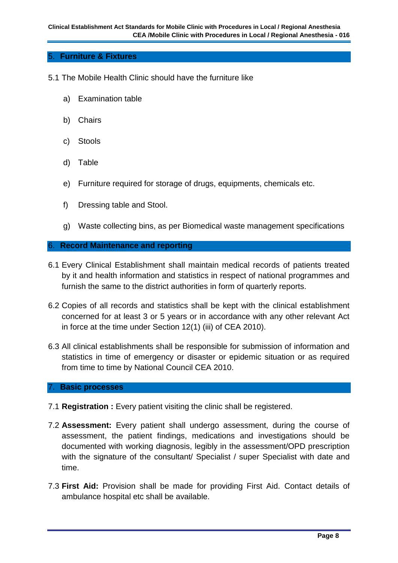#### 5. **Furniture & Fixtures**

- 5.1 The Mobile Health Clinic should have the furniture like
	- a) Examination table
	- b) Chairs
	- c) Stools
	- d) Table
	- e) Furniture required for storage of drugs, equipments, chemicals etc.
	- f) Dressing table and Stool.
	- g) Waste collecting bins, as per Biomedical waste management specifications

#### 6. **Record Maintenance and reporting**

- 6.1 Every Clinical Establishment shall maintain medical records of patients treated by it and health information and statistics in respect of national programmes and furnish the same to the district authorities in form of quarterly reports.
- 6.2 Copies of all records and statistics shall be kept with the clinical establishment concerned for at least 3 or 5 years or in accordance with any other relevant Act in force at the time under Section 12(1) (iii) of CEA 2010).
- 6.3 All clinical establishments shall be responsible for submission of information and statistics in time of emergency or disaster or epidemic situation or as required from time to time by National Council CEA 2010.

#### 7. **Basic processes**

- 7.1 **Registration :** Every patient visiting the clinic shall be registered.
- 7.2 **Assessment:** Every patient shall undergo assessment, during the course of assessment, the patient findings, medications and investigations should be documented with working diagnosis, legibly in the assessment/OPD prescription with the signature of the consultant/ Specialist / super Specialist with date and time.
- 7.3 **First Aid:** Provision shall be made for providing First Aid. Contact details of ambulance hospital etc shall be available.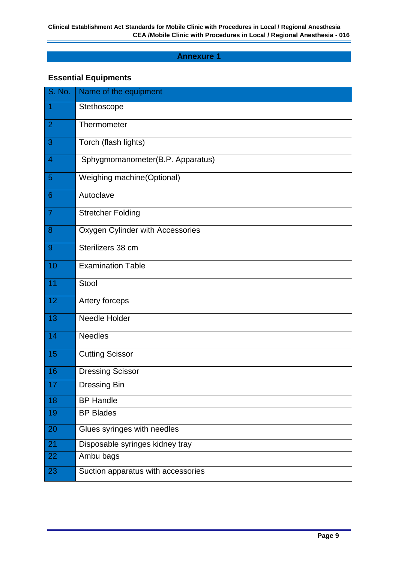#### **Annexure 1**

#### **Essential Equipments**

| S. No.         | Name of the equipment              |
|----------------|------------------------------------|
| 1              | Stethoscope                        |
| $\overline{2}$ | Thermometer                        |
| 3              | Torch (flash lights)               |
| 4              | Sphygmomanometer(B.P. Apparatus)   |
| $\overline{5}$ | Weighing machine(Optional)         |
| 6              | Autoclave                          |
| $\overline{7}$ | <b>Stretcher Folding</b>           |
| 8              | Oxygen Cylinder with Accessories   |
| 9              | Sterilizers 38 cm                  |
| 10             | <b>Examination Table</b>           |
| 11             | Stool                              |
| 12             | Artery forceps                     |
| 13             | Needle Holder                      |
| 14             | <b>Needles</b>                     |
| 15             | <b>Cutting Scissor</b>             |
| 16             | <b>Dressing Scissor</b>            |
| 17             | <b>Dressing Bin</b>                |
| 18             | <b>BP Handle</b>                   |
| 19             | <b>BP Blades</b>                   |
| 20             | Glues syringes with needles        |
| 21             | Disposable syringes kidney tray    |
| 22             | Ambu bags                          |
| 23             | Suction apparatus with accessories |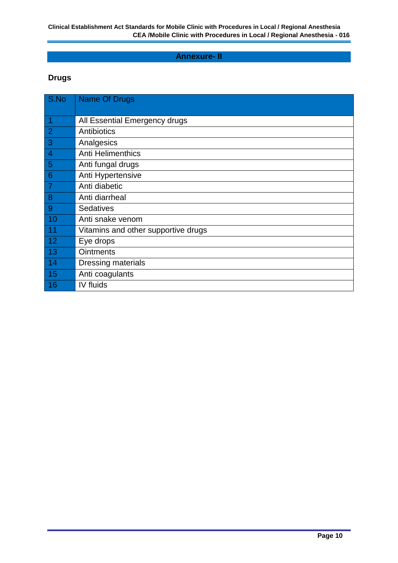#### **Annexure- II**

#### **Drugs**

| S.No                     | <b>Name Of Drugs</b>                |
|--------------------------|-------------------------------------|
|                          |                                     |
| $\overline{\phantom{a}}$ | All Essential Emergency drugs       |
| $\overline{2}$           | Antibiotics                         |
| $\overline{3}$           | Analgesics                          |
| $\overline{4}$           | <b>Anti Helimenthics</b>            |
| 5                        | Anti fungal drugs                   |
| $6\phantom{1}6$          | Anti Hypertensive                   |
| $\overline{7}$           | Anti diabetic                       |
| 8                        | Anti diarrheal                      |
| 9                        | <b>Sedatives</b>                    |
| 10                       | Anti snake venom                    |
| 11                       | Vitamins and other supportive drugs |
| 12                       | Eye drops                           |
| 13                       | <b>Ointments</b>                    |
| 14                       | Dressing materials                  |
| 15                       | Anti coagulants                     |
| 16                       | IV fluids                           |